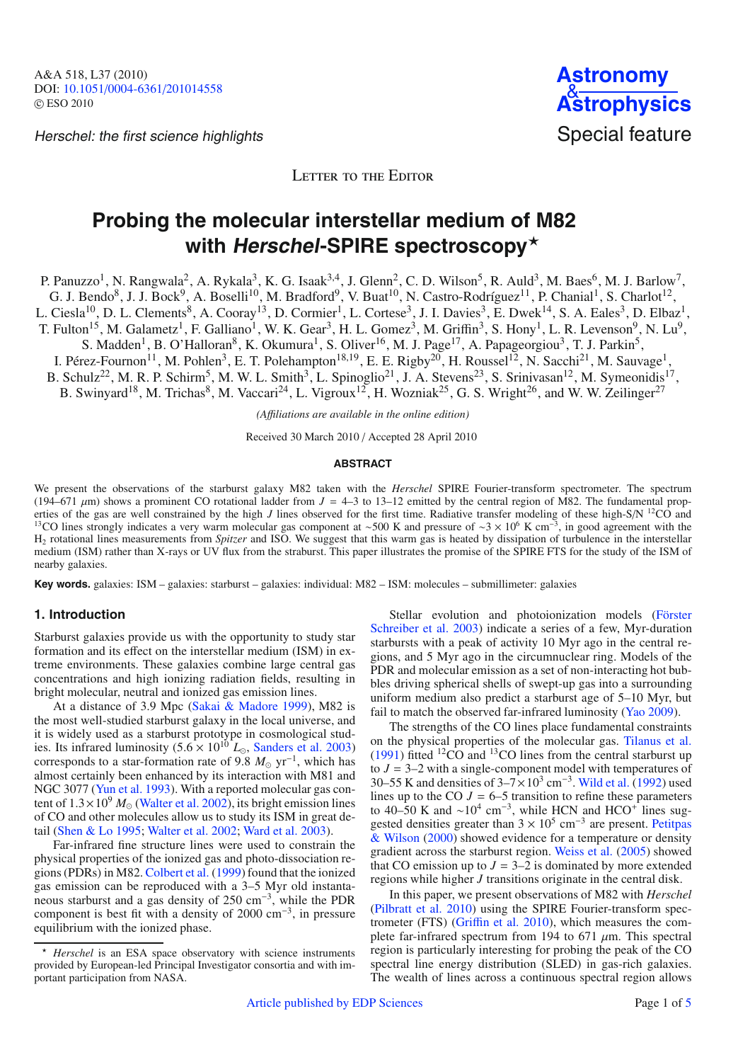Herschel: the first science highlights Special feature



LETTER TO THE EDITOR

# **Probing the molecular interstellar medium of M82 with Herschel-SPIRE spectroscopy**-

P. Panuzzo<sup>1</sup>, N. Rangwala<sup>2</sup>, A. Rykala<sup>3</sup>, K. G. Isaak<sup>3,4</sup>, J. Glenn<sup>2</sup>, C. D. Wilson<sup>5</sup>, R. Auld<sup>3</sup>, M. Baes<sup>6</sup>, M. J. Barlow<sup>7</sup>, G. J. Bendo<sup>8</sup>, J. J. Bock<sup>9</sup>, A. Boselli<sup>10</sup>, M. Bradford<sup>9</sup>, V. Buat<sup>10</sup>, N. Castro-Rodríguez<sup>11</sup>, P. Chanial<sup>1</sup>, S. Charlot<sup>12</sup>, L. Ciesla<sup>10</sup>, D. L. Clements<sup>8</sup>, A. Cooray<sup>13</sup>, D. Cormier<sup>1</sup>, L. Cortese<sup>3</sup>, J. I. Davies<sup>3</sup>, E. Dwek<sup>14</sup>, S. A. Eales<sup>3</sup>, D. Elbaz<sup>1</sup>, T. Fulton<sup>15</sup>, M. Galametz<sup>1</sup>, F. Galliano<sup>1</sup>, W. K. Gear<sup>3</sup>, H. L. Gomez<sup>3</sup>, M. Griffin<sup>3</sup>, S. Hony<sup>1</sup>, L. R. Levenson<sup>9</sup>, N. Lu<sup>9</sup>, S. Madden<sup>1</sup>, B. O'Halloran<sup>8</sup>, K. Okumura<sup>1</sup>, S. Oliver<sup>16</sup>, M. J. Page<sup>17</sup>, A. Papageorgiou<sup>3</sup>, T. J. Parkin<sup>5</sup>, I. Pérez-Fournon<sup>11</sup>, M. Pohlen<sup>3</sup>, E. T. Polehampton<sup>18,19</sup>, E. E. Rigby<sup>20</sup>, H. Roussel<sup>12</sup>, N. Sacchi<sup>21</sup>, M. Sauvage<sup>1</sup>, B. Schulz<sup>22</sup>, M. R. P. Schirm<sup>5</sup>, M. W. L. Smith<sup>3</sup>, L. Spinoglio<sup>21</sup>, J. A. Stevens<sup>23</sup>, S. Srinivasan<sup>12</sup>, M. Symeonidis<sup>17</sup>,

B. Swinyard<sup>18</sup>, M. Trichas<sup>8</sup>, M. Vaccari<sup>24</sup>, L. Vigroux<sup>12</sup>, H. Wozniak<sup>25</sup>, G. S. Wright<sup>26</sup>, and W. W. Zeilinger<sup>27</sup>

*(A*ffi*liations are available in the online edition)*

Received 30 March 2010 / Accepted 28 April 2010

#### **ABSTRACT**

We present the observations of the starburst galaxy M82 taken with the *Herschel* SPIRE Fourier-transform spectrometer. The spectrum (194–671  $\mu$ m) shows a prominent CO rotational ladder from  $J = 4$ –3 to 13–12 emitted by the central region of M82. The fundamental properties of the gas are well constrained by the high J lines observed for the first time. Radiative transfer modeling of these high-S/N <sup>12</sup>CO and <sup>13</sup>CO lines strongly indicates a very warm molecular gas component at ~500 H2 rotational lines measurements from *Spitzer* and ISO. We suggest that this warm gas is heated by dissipation of turbulence in the interstellar medium (ISM) rather than X-rays or UV flux from the straburst. This paper illustrates the promise of the SPIRE FTS for the study of the ISM of nearby galaxies.

Key words. galaxies: ISM – galaxies: starburst – galaxies: individual: M82 – ISM: molecules – submillimeter: galaxies

## **1. Introduction**

Starburst galaxies provide us with the opportunity to study star formation and its effect on the interstellar medium (ISM) in extreme environments. These galaxies combine large central gas concentrations and high ionizing radiation fields, resulting in bright molecular, neutral and ionized gas emission lines.

At a distance of 3.9 Mpc [\(Sakai & Madore 1999\)](#page-3-0), M82 is the most well-studied starburst galaxy in the local universe, and it is widely used as a starburst prototype in cosmological studies. Its infrared luminosity  $(5.6 \times 10^{10} L_{\odot}$ , [Sanders et al. 2003\)](#page-3-1) corresponds to a star-formation rate of 9.8  $M_{\odot}$  yr<sup>-1</sup>, which has almost certainly been enhanced by its interaction with M81 and NGC 3077 [\(Yun et al. 1993](#page-3-2)). With a reported molecular gas content of  $1.3 \times 10^9$   $M_{\odot}$  [\(Walter et al. 2002](#page-3-3)), its bright emission lines of CO and other molecules allow us to study its ISM in great detail [\(Shen & Lo 1995](#page-3-4); [Walter et al. 2002;](#page-3-3) [Ward et al. 2003\)](#page-3-5).

Far-infrared fine structure lines were used to constrain the physical properties of the ionized gas and photo-dissociation regions (PDRs) in M82. [Colbert et al.](#page-3-6) [\(1999\)](#page-3-6) found that the ionized gas emission can be reproduced with a 3–5 Myr old instantaneous starburst and a gas density of 250 cm−3, while the PDR component is best fit with a density of 2000 cm−3, in pressure equilibrium with the ionized phase.

Stellar ev[olution and photoionization models \(](#page-3-7)Förster Schreiber et al. [2003\)](#page-3-7) indicate a series of a few, Myr-duration starbursts with a peak of activity 10 Myr ago in the central regions, and 5 Myr ago in the circumnuclear ring. Models of the PDR and molecular emission as a set of non-interacting hot bubbles driving spherical shells of swept-up gas into a surrounding uniform medium also predict a starburst age of 5–10 Myr, but fail to match the observed far-infrared luminosity [\(Yao 2009](#page-3-8)).

The strengths of the CO lines place fundamental constraints on the physical properties of the molecular gas. [Tilanus et al.](#page-3-9)  $(1991)$  $(1991)$  fitted <sup>12</sup>CO and <sup>13</sup>CO lines from the central starburst up to  $J = 3-2$  with a single-component model with temperatures of 30–55 K and densities of  $3-7 \times 10^3$  cm<sup>-3</sup>. [Wild et al.](#page-3-10) [\(1992](#page-3-10)) used lines up to the CO  $J = 6-5$  transition to refine these parameters to 40–50 K and  $\sim 10^4$  cm<sup>-3</sup>, while HCN and HCO<sup>+</sup> lines suggested de[nsities](#page-3-11) [greater](#page-3-11) [than](#page-3-11)  $3 \times 10^5$  $3 \times 10^5$  cm<sup>-3</sup> are present. Petitpas & Wilson [\(2000](#page-3-11)) showed evidence for a temperature or density gradient across the starburst region. [Weiss et al.](#page-3-12) [\(2005\)](#page-3-12) showed that CO emission up to  $J = 3-2$  is dominated by more extended regions while higher *J* transitions originate in the central disk.

In this paper, we present observations of M82 with *Herschel* [\(Pilbratt et al. 2010\)](#page-3-13) using the SPIRE Fourier-transform spectrometer (FTS) (Griffi[n et al. 2010](#page-3-14)), which measures the complete far-infrared spectrum from 194 to 671  $\mu$ m. This spectral region is particularly interesting for probing the peak of the CO spectral line energy distribution (SLED) in gas-rich galaxies. The wealth of lines across a continuous spectral region allows

<sup>-</sup> *Herschel* is an ESA space observatory with science instruments provided by European-led Principal Investigator consortia and with important participation from NASA.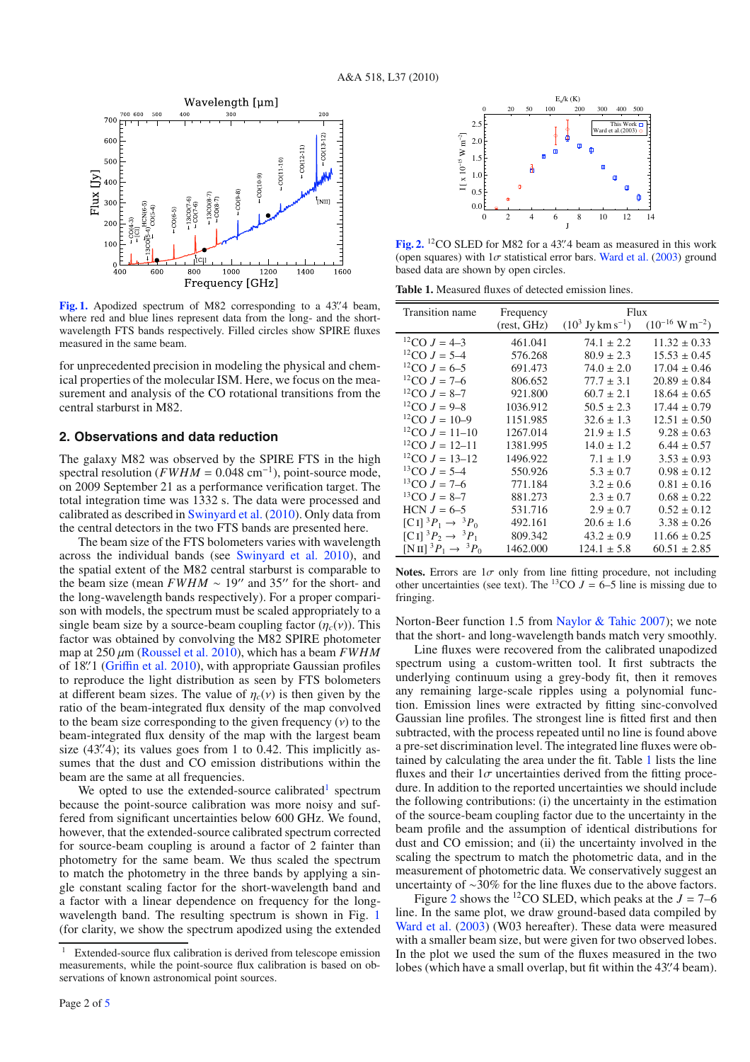<span id="page-1-1"></span>

[Fig. 1.](http://dexter.edpsciences.org/applet.php?DOI=10.1051/0004-6361/201014558&pdf_id=1) Apodized spectrum of M82 corresponding to a 43".4 beam, where red and blue lines represent data from the long- and the shortwavelength FTS bands respectively. Filled circles show SPIRE fluxes measured in the same beam.

for unprecedented precision in modeling the physical and chemical properties of the molecular ISM. Here, we focus on the measurement and analysis of the CO rotational transitions from the central starburst in M82.

## <span id="page-1-4"></span>**2. Observations and data reduction**

The galaxy M82 was observed by the SPIRE FTS in the high spectral resolution (*FWHM* = 0.048 cm<sup>-1</sup>), point-source mode, on 2009 September 21 as a performance verification target. The total integration time was 1332 s. The data were processed and calibrated as described in [Swinyard et al.](#page-3-15) [\(2010](#page-3-15)). Only data from the central detectors in the two FTS bands are presented here.

The beam size of the FTS bolometers varies with wavelength across the individual bands (see [Swinyard et al. 2010](#page-3-15)), and the spatial extent of the M82 central starburst is comparable to the beam size (mean  $FWHM \sim 19''$  and 35" for the short- and the long-wavelength bands respectively). For a proper comparison with models, the spectrum must be scaled appropriately to a single beam size by a source-beam coupling factor  $(\eta_c(v))$ . This factor was obtained by convolving the M82 SPIRE photometer map at 250 μm [\(Roussel et al. 2010\)](#page-3-16), which has a beam *FWHM* of 18". 1 (Griffi[n et al. 2010\)](#page-3-14), with appropriate Gaussian profiles to reproduce the light distribution as seen by FTS bolometers at different beam sizes. The value of  $\eta_c(v)$  is then given by the ratio of the beam-integrated flux density of the map convolved to the beam size corresponding to the given frequency  $(v)$  to the beam-integrated flux density of the map with the largest beam size  $(43\rlap.{''}4)$ ; its values goes from 1 to 0.42. This implicitly assumes that the dust and CO emission distributions within the beam are the same at all frequencies.

<span id="page-1-0"></span>We opted to use the extended-source calibrated<sup>[1](#page-1-0)</sup> spectrum because the point-source calibration was more noisy and suffered from significant uncertainties below 600 GHz. We found, however, that the extended-source calibrated spectrum corrected for source-beam coupling is around a factor of 2 fainter than photometry for the same beam. We thus scaled the spectrum to match the photometry in the three bands by applying a single constant scaling factor for the short-wavelength band and a factor with a linear dependence on frequency for the longwavelength band. The resulting spectrum is shown in Fig. [1](#page-1-1) (for clarity, we show the spectrum apodized using the extended

<span id="page-1-3"></span><span id="page-1-2"></span>

[Fig. 2.](http://dexter.edpsciences.org/applet.php?DOI=10.1051/0004-6361/201014558&pdf_id=2) <sup>12</sup>CO SLED for M82 for a 43".4 beam as measured in this work (open squares) with  $1\sigma$  statistical error bars. [Ward et al.](#page-3-5) [\(2003\)](#page-3-5) ground based data are shown by open circles.

**Table 1.** Measured fluxes of detected emission lines.

| Transition name                                         | Frequency   | Flux                          |                               |
|---------------------------------------------------------|-------------|-------------------------------|-------------------------------|
|                                                         | (rest, GHz) | $(10^3 \text{ Jy km s}^{-1})$ | $(10^{-16} \text{ W m}^{-2})$ |
| <sup>12</sup> CO $J = 4-3$                              | 461.041     | $74.1 \pm 2.2$                | $11.32 \pm 0.33$              |
| <sup>12</sup> CO $J = 5-4$                              | 576.268     | $80.9 \pm 2.3$                | $15.53 \pm 0.45$              |
| <sup>12</sup> CO $J = 6-5$                              | 691.473     | $74.0 \pm 2.0$                | $17.04 \pm 0.46$              |
| ${}^{12}CO$ J = 7–6                                     | 806.652     | $77.7 \pm 3.1$                | $20.89 \pm 0.84$              |
| <sup>12</sup> CO $J = 8-7$                              | 921.800     | $60.7 \pm 2.1$                | $18.64 \pm 0.65$              |
| <sup>12</sup> CO $J = 9-8$                              | 1036.912    | $50.5 \pm 2.3$                | $17.44 \pm 0.79$              |
| <sup>12</sup> CO $J = 10-9$                             | 1151.985    | $32.6 \pm 1.3$                | $12.51 \pm 0.50$              |
| <sup>12</sup> CO $J = 11-10$                            | 1267.014    | $21.9 \pm 1.5$                | $9.28 \pm 0.63$               |
| <sup>12</sup> CO $J = 12-11$                            | 1381.995    | $14.0 \pm 1.2$                | $6.44 \pm 0.57$               |
| <sup>12</sup> CO $J = 13-12$                            | 1496.922    | $7.1 \pm 1.9$                 | $3.53 \pm 0.93$               |
| <sup>13</sup> CO $J = 5-4$                              | 550.926     | $5.3 \pm 0.7$                 | $0.98 \pm 0.12$               |
| <sup>13</sup> CO $J = 7-6$                              | 771.184     | $3.2 \pm 0.6$                 | $0.81 \pm 0.16$               |
| ${}^{13}CO J = 8-7$                                     | 881.273     | $2.3 \pm 0.7$                 | $0.68 \pm 0.22$               |
| $HCN J = 6-5$                                           | 531.716     | $2.9 \pm 0.7$                 | $0.52 \pm 0.12$               |
| $[CH^3P_1 \rightarrow {}^3P_0$                          | 492.161     | $20.6 \pm 1.6$                | $3.38 \pm 0.26$               |
| $[CI]^3P_2 \rightarrow {}^3P_1$                         | 809.342     | $43.2 \pm 0.9$                | $11.66 \pm 0.25$              |
| $[N\,\text{II}]$ <sup>3</sup> $P_1 \rightarrow {}^3P_0$ | 1462.000    | $124.1 \pm 5.8$               | $60.51 \pm 2.85$              |

**Notes.** Errors are  $1\sigma$  only from line fitting procedure, not including other uncertainties (see text). The <sup>13</sup>CO  $J = 6-5$  line is missing due to fringing.

Norton-Beer function 1.5 from [Naylor & Tahic 2007\)](#page-3-17); we note that the short- and long-wavelength bands match very smoothly.

Line fluxes were recovered from the calibrated unapodized spectrum using a custom-written tool. It first subtracts the underlying continuum using a grey-body fit, then it removes any remaining large-scale ripples using a polynomial function. Emission lines were extracted by fitting sinc-convolved Gaussian line profiles. The strongest line is fitted first and then subtracted, with the process repeated until no line is found above a pre-set discrimination level. The integrated line fluxes were obtained by calculating the area under the fit. Table [1](#page-1-2) lists the line fluxes and their  $1\sigma$  uncertainties derived from the fitting procedure. In addition to the reported uncertainties we should include the following contributions: (i) the uncertainty in the estimation of the source-beam coupling factor due to the uncertainty in the beam profile and the assumption of identical distributions for dust and CO emission; and (ii) the uncertainty involved in the scaling the spectrum to match the photometric data, and in the measurement of photometric data. We conservatively suggest an uncertainty of ∼30% for the line fluxes due to the above factors.

Figure [2](#page-1-3) shows the <sup>12</sup>CO SLED, which peaks at the  $J = 7-6$ line. In the same plot, we draw ground-based data compiled by [Ward et al.](#page-3-5) [\(2003\)](#page-3-5) (W03 hereafter). These data were measured with a smaller beam size, but were given for two observed lobes. In the plot we used the sum of the fluxes measured in the two lobes (which have a small overlap, but fit within the 43". 4 beam).

<sup>&</sup>lt;sup>1</sup> Extended-source flux calibration is derived from telescope emission measurements, while the point-source flux calibration is based on observations of known astronomical point sources.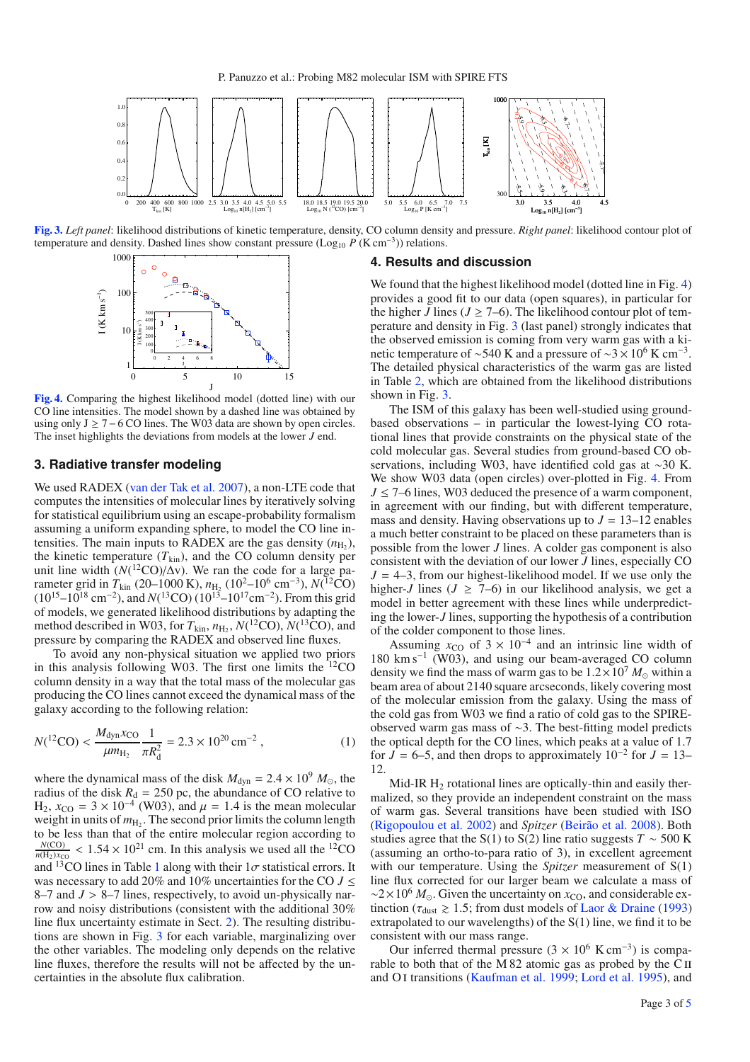<span id="page-2-0"></span>

<span id="page-2-1"></span>**[Fig. 3.](http://dexter.edpsciences.org/applet.php?DOI=10.1051/0004-6361/201014558&pdf_id=3)** *Left panel*: likelihood distributions of kinetic temperature, density, CO column density and pressure. *Right panel*: likelihood contour plot of temperature and density. Dashed lines show constant pressure (Log<sub>10</sub> *P* (K cm<sup>-3</sup>)) relations.



**[Fig. 4.](http://dexter.edpsciences.org/applet.php?DOI=10.1051/0004-6361/201014558&pdf_id=4)** Comparing the highest likelihood model (dotted line) with our CO line intensities. The model shown by a dashed line was obtained by using only  $J \ge 7-6$  CO lines. The W03 data are shown by open circles. The inset highlights the deviations from models at the lower *J* end.

### **3. Radiative transfer modeling**

We used RADEX [\(van der Tak et al. 2007](#page-3-18)), a non-LTE code that computes the intensities of molecular lines by iteratively solving for statistical equilibrium using an escape-probability formalism assuming a uniform expanding sphere, to model the CO line intensities. The main inputs to RADEX are the gas density  $(n_{\text{H}_2})$ , the kinetic temperature  $(T_{kin})$ , and the CO column density per unit line width  $(N({}^{12}CO)/\Delta v)$ . We ran the code for a large parameter grid in  $T_{\text{kin}}$  (20–1000 K),  $n_{\text{H}_2}$  (10<sup>2</sup>–10<sup>6</sup> cm<sup>-3</sup>),  $N(^{12}CO)$  $(10^{15}-10^{18} \text{ cm}^{-2})$ , and  $N(^{13} \text{CO})$   $(10^{15}-10^{17} \text{ cm}^{-2})$ . From this grid of models, we generated likelihood distributions by adapting the method described in W03, for  $T_{kin}$ ,  $n_{\text{H}_2}$ ,  $N(^{12}\text{CO})$ ,  $N(^{13}\text{CO})$ , and pressure by comparing the RADEX and observed line fluxes.

To avoid any non-physical situation we applied two priors in this analysis following W03. The first one limits the  ${}^{12}CO$ column density in a way that the total mass of the molecular gas producing the CO lines cannot exceed the dynamical mass of the galaxy according to the following relation:

$$
N(^{12}\text{CO}) < \frac{M_{\text{dyn}}x_{\text{CO}}}{\mu m_{\text{H}_2}} \frac{1}{\pi R_d^2} = 2.3 \times 10^{20} \text{ cm}^{-2} \,,\tag{1}
$$

where the dynamical mass of the disk  $M_{dyn} = 2.4 \times 10^9$   $M_{\odot}$ , the radius of the disk  $R_d = 250$  pc, the abundance of CO relative to H<sub>2</sub>,  $x_{\text{CO}} = 3 \times 10^{-4}$  (W03), and  $\mu = 1.4$  is the mean molecular weight in units of  $m_{\text{H}_2}$ . The second prior limits the column length to be less than that of the entire molecular region according to  $\frac{N(CO)}{n(H_2)x_{CO}}$  < 1.54 × 10<sup>21</sup> cm. In this analysis we used all the <sup>12</sup>CO and  $^{13}$  $^{13}$  $^{13}$ CO lines in Table 1 along with their  $1\sigma$  statistical errors. It was necessary to add 20% and 10% uncertainties for the CO  $J \leq$ 8–7 and *J* > 8–7 lines, respectively, to avoid un-physically narrow and noisy distributions (consistent with the additional 30% line flux uncertainty estimate in Sect. [2\)](#page-1-4). The resulting distributions are shown in Fig. [3](#page-2-0) for each variable, marginalizing over the other variables. The modeling only depends on the relative line fluxes, therefore the results will not be affected by the uncertainties in the absolute flux calibration.

#### **4. Results and discussion**

We found that the highest likelihood model (dotted line in Fig. [4\)](#page-2-1) provides a good fit to our data (open squares), in particular for the higher *J* lines ( $J \ge 7-6$ ). The likelihood contour plot of temperature and density in Fig. [3](#page-2-0) (last panel) strongly indicates that the observed emission is coming from very warm gas with a kinetic temperature of ~540 K and a pressure of ~3 × 10<sup>6</sup> K cm<sup>−3</sup>. The detailed physical characteristics of the warm gas are listed in Table [2,](#page-3-19) which are obtained from the likelihood distributions shown in Fig. [3.](#page-2-0)

The ISM of this galaxy has been well-studied using groundbased observations – in particular the lowest-lying CO rotational lines that provide constraints on the physical state of the cold molecular gas. Several studies from ground-based CO observations, including W03, have identified cold gas at ∼30 K. We show W03 data (open circles) over-plotted in Fig. [4.](#page-2-1) From  $J \leq 7-6$  lines, W03 deduced the presence of a warm component, in agreement with our finding, but with different temperature, mass and density. Having observations up to  $J = 13-12$  enables a much better constraint to be placed on these parameters than is possible from the lower *J* lines. A colder gas component is also consistent with the deviation of our lower *J* lines, especially CO  $J = 4-3$ , from our highest-likelihood model. If we use only the higher-*J* lines ( $J \geq 7-6$ ) in our likelihood analysis, we get a model in better agreement with these lines while underpredicting the lower-*J* lines, supporting the hypothesis of a contribution of the colder component to those lines.

Assuming  $x_{\text{CO}}$  of  $3 \times 10^{-4}$  and an intrinsic line width of 180 km s−<sup>1</sup> (W03), and using our beam-averaged CO column density we find the mass of warm gas to be  $1.2 \times 10^7$   $M_{\odot}$  within a beam area of about 2140 square arcseconds, likely covering most of the molecular emission from the galaxy. Using the mass of the cold gas from W03 we find a ratio of cold gas to the SPIREobserved warm gas mass of ∼3. The best-fitting model predicts the optical depth for the CO lines, which peaks at a value of 1.7 for  $\hat{J} = 6-5$ , and then drops to approximately 10<sup>-2</sup> for  $J = 13-$ 12.

Mid-IR  $H_2$  rotational lines are optically-thin and easily thermalized, so they provide an independent constraint on the mass of warm gas. Several transitions have been studied with ISO [\(Rigopoulou et al. 2002](#page-3-20)) and *Spitzer* [\(Beirão et al. 2008\)](#page-3-21). Both studies agree that the S(1) to S(2) line ratio suggests  $T \sim 500$  K (assuming an ortho-to-para ratio of 3), in excellent agreement with our temperature. Using the *Spitzer* measurement of S(1) line flux corrected for our larger beam we calculate a mass of ∼2×10<sup>6</sup> *M*<sub>⊙</sub>. Given the uncertainty on *x*<sub>CO</sub>, and considerable extinction ( $\tau_{\text{dust}} \geq 1.5$ ; from dust models of [Laor & Draine](#page-3-22) [\(1993\)](#page-3-22) extrapolated to our wavelengths) of the S(1) line, we find it to be consistent with our mass range.

Our inferred thermal pressure  $(3 \times 10^6 \text{ K cm}^{-3})$  is comparable to both that of the M 82 atomic gas as probed by the CII and OI transitions [\(Kaufman et al. 1999;](#page-3-23) [Lord et al. 1995\)](#page-3-24), and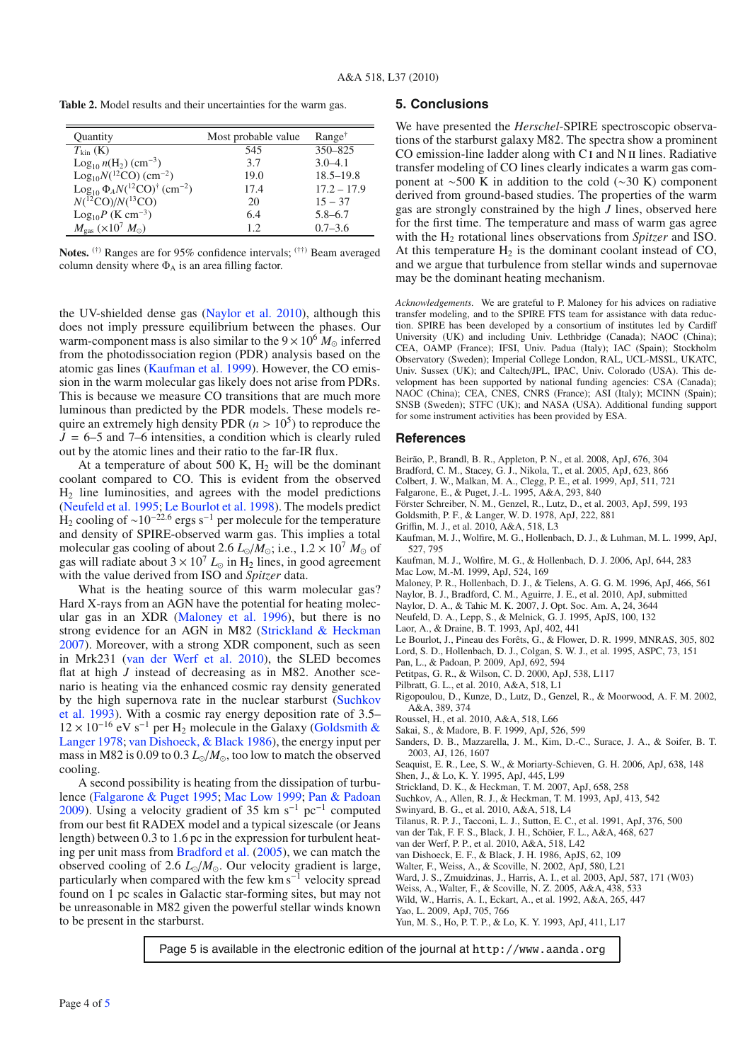<span id="page-3-19"></span>**Table 2.** Model results and their uncertainties for the warm gas.

| Quantity                                                   | Most probable value | $Range^{\dagger}$ |
|------------------------------------------------------------|---------------------|-------------------|
| $T_{\text{kin}}\left(\text{K}\right)$                      | 545                 | $350 - 825$       |
| $Log_{10} n(H_2)$ (cm <sup>-3</sup> )                      | 3.7                 | $3.0 - 4.1$       |
| $Log10N(^{12}CO)$ (cm <sup>-2</sup> )                      | 19.0                | $18.5 - 19.8$     |
| $Log_{10} \Phi_A N(^{12}CO)^{\dagger}$ (cm <sup>-2</sup> ) | 17.4                | $17.2 - 17.9$     |
| $N(^{12}CO)/N(^{13}CO)$                                    | 20                  | $15 - 37$         |
| $\text{Log}_{10}P$ (K cm <sup>-3</sup> )                   | 6.4                 | $5.8 - 6.7$       |
| $M_{\rm gas}$ (×10 <sup>7</sup> $M_{\odot}$ )              | 12                  | $0.7 - 3.6$       |

**Notes.** (†) Ranges are for 95% confidence intervals; (††) Beam averaged column density where  $\Phi_A$  is an area filling factor.

the UV-shielded dense gas [\(Naylor et al. 2010\)](#page-3-25), although this does not imply pressure equilibrium between the phases. Our warm-component mass is also similar to the  $9 \times 10^6$   $M_{\odot}$  inferred from the photodissociation region (PDR) analysis based on the atomic gas lines [\(Kaufman et al. 1999\)](#page-3-23). However, the CO emission in the warm molecular gas likely does not arise from PDRs. This is because we measure CO transitions that are much more luminous than predicted by the PDR models. These models require an extremely high density PDR  $(n > 10^5)$  to reproduce the  $J = 6-5$  and 7–6 intensities, a condition which is clearly ruled out by the atomic lines and their ratio to the far-IR flux.

At a temperature of about 500 K,  $H_2$  will be the dominant coolant compared to CO. This is evident from the observed  $H<sub>2</sub>$  line luminosities, and agrees with the model predictions [\(Neufeld et al. 1995](#page-3-26); [Le Bourlot et al. 1998\)](#page-3-27). The models predict  $H_2$  cooling of ~10<sup>-22.6</sup> ergs s<sup>-1</sup> per molecule for the temperature and density of SPIRE-observed warm gas. This implies a total molecular gas cooling of about 2.6  $L_0/M_{\odot}$ ; i.e.,  $1.2 \times 10^7$   $M_{\odot}$  of gas will radiate about  $3 \times 10^7 L_{\odot}$  in H<sub>2</sub> lines, in good agreement with the value derived from ISO and *Spitzer* data.

What is the heating source of this warm molecular gas? Hard X-rays from an AGN have the potential for heating molecular gas in an XDR [\(Maloney et al. 1996](#page-3-28)), but there is no strong evidence for an AGN in M82 [\(Strickland & Heckman](#page-3-29) [2007](#page-3-29)). Moreover, with a strong XDR component, such as seen in Mrk231 [\(van der Werf et al. 2010](#page-3-30)), the SLED becomes flat at high *J* instead of decreasing as in M82. Another scenario is heating via the enhanced cosmic ray density generated by t[he high supernova rate in the nuclear starburst \(](#page-3-31)Suchkov et al. [1993](#page-3-31)). With a cosmic ray energy deposition rate of 3.5–  $12 \times 10^{-16}$  eV s<sup>-1</sup> per H<sub>2</sub> [molecule in the Galaxy \(](#page-3-32)Goldsmith & Langer [1978;](#page-3-32) [van Dishoeck, & Black 1986\)](#page-3-33), the energy input per mass in M82 is 0.09 to 0.3  $L_0/M_0$ , too low to match the observed cooling.

A second possibility is heating from the dissipation of turbulence [\(Falgarone & Puget 1995;](#page-3-34) [Mac Low 1999](#page-3-35); [Pan & Padoan](#page-3-36) [2009](#page-3-36)). Using a velocity gradient of 35 km s<sup>-1</sup> pc<sup>-1</sup> computed from our best fit RADEX model and a typical sizescale (or Jeans length) between 0.3 to 1.6 pc in the expression for turbulent heating per unit mass from [Bradford et al.](#page-3-37) [\(2005](#page-3-37)), we can match the observed cooling of 2.6  $L_{\odot}/M_{\odot}$ . Our velocity gradient is large, particularly when compared with the few km s<sup>−1</sup> velocity spread found on 1 pc scales in Galactic star-forming sites, but may not be unreasonable in M82 given the powerful stellar winds known to be present in the starburst.

#### **5. Conclusions**

We have presented the *Herschel*-SPIRE spectroscopic observations of the starburst galaxy M82. The spectra show a prominent CO emission-line ladder along with C<sub>I</sub> and N<sub>II</sub> lines. Radiative transfer modeling of CO lines clearly indicates a warm gas component at ∼500 K in addition to the cold (∼30 K) component derived from ground-based studies. The properties of the warm gas are strongly constrained by the high *J* lines, observed here for the first time. The temperature and mass of warm gas agree with the H<sub>2</sub> rotational lines observations from *Spitzer* and ISO. At this temperature  $H_2$  is the dominant coolant instead of CO, and we argue that turbulence from stellar winds and supernovae may be the dominant heating mechanism.

*Acknowledgements.* We are grateful to P. Maloney for his advices on radiative transfer modeling, and to the SPIRE FTS team for assistance with data reduction. SPIRE has been developed by a consortium of institutes led by Cardiff University (UK) and including Univ. Lethbridge (Canada); NAOC (China); CEA, OAMP (France); IFSI, Univ. Padua (Italy); IAC (Spain); Stockholm Observatory (Sweden); Imperial College London, RAL, UCL-MSSL, UKATC, Univ. Sussex (UK); and Caltech/JPL, IPAC, Univ. Colorado (USA). This development has been supported by national funding agencies: CSA (Canada); NAOC (China); CEA, CNES, CNRS (France); ASI (Italy); MCINN (Spain); SNSB (Sweden); STFC (UK); and NASA (USA). Additional funding support for some instrument activities has been provided by ESA.

#### **References**

- Beirão, P., Brandl, B. R., Appleton, P. N., et al. 2008, ApJ, 676, 304
- <span id="page-3-21"></span>Bradford, C. M., Stacey, G. J., Nikola, T., et al. 2005, ApJ, 623, 866
- <span id="page-3-37"></span><span id="page-3-34"></span><span id="page-3-7"></span><span id="page-3-6"></span>Colbert, J. W., Malkan, M. A., Clegg, P. E., et al. 1999, ApJ, 511, 721
- Falgarone, E., & Puget, J.-L. 1995, A&A, 293, 840
- Förster Schreiber, N. M., Genzel, R., Lutz, D., et al. 2003, ApJ, 599, 193
- Goldsmith, P. F., & Langer, W. D. 1978, ApJ, 222, 881
- Griffin, M. J., et al. 2010, A&A, 518, L3
- <span id="page-3-32"></span><span id="page-3-23"></span><span id="page-3-14"></span>Kaufman, M. J., Wolfire, M. G., Hollenbach, D. J., & Luhman, M. L. 1999, ApJ, 527, 795
- <span id="page-3-35"></span><span id="page-3-28"></span>Kaufman, M. J., Wolfire, M. G., & Hollenbach, D. J. 2006, ApJ, 644, 283 Mac Low, M.-M. 1999, ApJ, 524, 169
- Maloney, P. R., Hollenbach, D. J., & Tielens, A. G. G. M. 1996, ApJ, 466, 561
- Naylor, B. J., Bradford, C. M., Aguirre, J. E., et al. 2010, ApJ, submitted
- Naylor, D. A., & Tahic M. K. 2007, J. Opt. Soc. Am. A, 24, 3644
- <span id="page-3-26"></span><span id="page-3-25"></span><span id="page-3-22"></span><span id="page-3-17"></span>Neufeld, D. A., Lepp, S., & Melnick, G. J. 1995, ApJS, 100, 132
- <span id="page-3-27"></span>Laor, A., & Draine, B. T. 1993, ApJ, 402, 441
- Le Bourlot, J., Pineau des Forêts, G., & Flower, D. R. 1999, MNRAS, 305, 802
- Lord, S. D., Hollenbach, D. J., Colgan, S. W. J., et al. 1995, ASPC, 73, 151
- <span id="page-3-36"></span><span id="page-3-24"></span>Pan, L., & Padoan, P. 2009, ApJ, 692, 594
- Petitpas, G. R., & Wilson, C. D. 2000, ApJ, 538, L117
- <span id="page-3-20"></span><span id="page-3-13"></span><span id="page-3-11"></span>Pilbratt, G. L., et al. 2010, A&A, 518, L1
- Rigopoulou, D., Kunze, D., Lutz, D., Genzel, R., & Moorwood, A. F. M. 2002, A&A, 389, 374
- Roussel, H., et al. 2010, A&A, 518, L66
- <span id="page-3-16"></span><span id="page-3-1"></span><span id="page-3-0"></span>Sakai, S., & Madore, B. F. 1999, ApJ, 526, 599
- Sanders, D. B., Mazzarella, J. M., Kim, D.-C., Surace, J. A., & Soifer, B. T. 2003, AJ, 126, 1607
- Seaquist, E. R., Lee, S. W., & Moriarty-Schieven, G. H. 2006, ApJ, 638, 148 Shen, J., & Lo, K. Y. 1995, ApJ, 445, L99
- <span id="page-3-29"></span><span id="page-3-4"></span>
- Strickland, D. K., & Heckman, T. M. 2007, ApJ, 658, 258
- <span id="page-3-31"></span>Suchkov, A., Allen, R. J., & Heckman, T. M. 1993, ApJ, 413, 542
- Swinyard, B. G., et al. 2010, A&A, 518, L4
- <span id="page-3-18"></span><span id="page-3-15"></span><span id="page-3-9"></span>Tilanus, R. P. J., Tacconi, L. J., Sutton, E. C., et al. 1991, ApJ, 376, 500
- van der Tak, F. F. S., Black, J. H., Schöier, F. L., A&A, 468, 627
- van der Werf, P. P., et al. 2010, A&A, 518, L42
- <span id="page-3-30"></span>van Dishoeck, E. F., & Black, J. H. 1986, ApJS, 62, 109
- <span id="page-3-33"></span><span id="page-3-5"></span><span id="page-3-3"></span>Walter, F., Weiss, A., & Scoville, N. 2002, ApJ, 580, L21
- Ward, J. S., Zmuidzinas, J., Harris, A. I., et al. 2003, ApJ, 587, 171 (W03)
- Weiss, A., Walter, F., & Scoville, N. Z. 2005, A&A, 438, 533
- Wild, W., Harris, A. I., Eckart, A., et al. 1992, A&A, 265, 447
- <span id="page-3-12"></span><span id="page-3-10"></span><span id="page-3-8"></span><span id="page-3-2"></span>Yao, L. 2009, ApJ, 705, 766
- Yun, M. S., Ho, P. T. P., & Lo, K. Y. 1993, ApJ, 411, L17

Page 5 is available in the electronic edition of the journal at http://www.aanda.org